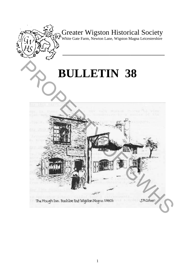

Greater Wigston Historical Society

White Gate Farm, Newton Lane, Wigston Magna Leicestershire

**\_\_\_\_\_\_\_\_\_\_\_\_\_\_\_\_\_\_\_\_\_\_\_\_\_\_\_\_\_\_\_\_\_\_\_\_\_\_\_** 

# **BULLETIN 38**

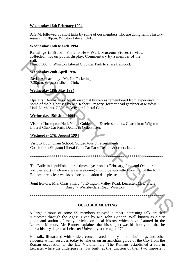# **Wednesday 16th February 1994**

A.G.M. followed by short talks by some of our members who are doing family history research. 7.30p.m. Wigston Liberal Club.

### **Wednesday 16th March 1994**

Paintings in Store - Visit to New Walk Museum Stores to view collection not on public display. Commentary by a member of the staff.

Meet 7.00p.m. Wigston Liberal Club Car Park to share transport.

# **Wednesday 20th April 1994**

Aerial Archaeology - Mr. Jim Pickering. 7.30p.m. Wigston Liberal Club.

# **Wednesday 18th May 1994**

Upstairs, Downstairs - A talk on social history as remembered from experience in some of the big houses by Mr. Robert Gregory (former head gardener at Maidwell Hall, Northants. 7.30p.m. Wigston Liberal Club.

# **Wednesday 15th June 1994**

Visit to Thrumpton Hall, Notts. Guided tour & refreshments. Coach from Wigston Liberal Club Car Park. Details & Orders later.

# **Wednesday 17th August 1994**

Visit to Uppingham School. Guided tour & refreshments. Coach from Wigston Liberal Club Car Park. Details & orders later.

\*\*\*\*\*\*\*\*\*\*\*\*\*\*\*\*\*\*\*\*\*\*\*\*\*\*\*\*\*\*\*\*\*\*\*\*\*\*\*\*\*\*\*\*\*\*\*\*\*\*\*\*\*\*\*\*\*\*\*\*\*\*\*\*\*\*\*\*

The Bulletin is published three times a year on 1st February, June and October. Articles etc. (which are always welcome) should be submitted to either of the Joint Editors three clear weeks before publication date please. Meet 7.00p.m. Wigston Liberal Club Car Park to share transport.<br> **Wednesday 20th April 1994**<br>
Keral Achhoology - Mr. Jim Pickering.<br>
7.30pm. Wigston Liberal Club.<br> **Wednesday 18th May 1994**<br>
Upstairs, Downstains - Atalk on

Joint Editors: Mrs. Chris Smart, 48 Evington Valley Road, Leicester. Mrs. Tricia Barry, 7 Wensleydale Road, Wigston.

#### \*\*\*\*\*\*\*\*\*\*\*\*\*\*\*\*\*\*\*\*\*\*\*\*\*\*\*\*\*\*\*\*\*\*\*\*\*\*\*\*\*\*\*\*\*\*\*\*\*\*\*\*\*\*\*\*\*\*\*\*\*\*\*\*\*\*\*\*

# **OCTOBER MEETING**

A large turnout of some 55 members enjoyed a most interesting talk entitled "Leicester through the Ages" given by Mr. John Banner. Well known as a city guide and author of many articles on local history which have featured in the Leicester Mercury, Mr. Banner explained that his subject was his hobby and that he took a history degree at Leicester University at the age of 70.

His talk, illustrated with slides, concentrated mainly on the buildings and other evidence which survives today to take us on an armchair guide of the City from the Roman occupation to the late Victorian era. The Romans established a fort in Leicester where the underpass is now built, at the junction of their two important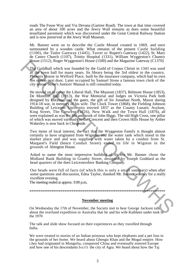roads The Fosse Way and Via Devana (Gartree Road). The town at that time covered an area of about 100 acres and the Jewry Wall remains as does some beautiful tessellated pavement which was discovered under the Great Central Railway Station and is now preserved at the Jewry Wall Museum.

Mr. Banner went on to describe the Castle Mound created in 1069, and once surmounted by a wooden castle. What remains of the present Castle building (1100), the Tudor Gateway (1445), Turret or Rupert's Gateway (1422), St. Mary de Castro Church (1107), Trinity Hospital (1331), William Wyggeston's Chantry House (1512), Roger Wyggeston's House (1500) and the Magazine Gateway (C1370)

The Guildhall which was founded by the Guild of Corpus Christi in 1343 was used as the town hall for many years. Its library being the 3rd oldest in the country. Phoenix House in Welford Place, built by the insurance company, which had its own fire station next door. Later occupied by Samuel Stone a famous town clerk of the city whose Stone's Justices' Manual is still consulted today.

He moved on to cover the Liberal Hall, The Museum (1837), Belmont House (1853), De Montfort Hall (1913), the War Memorial and lodges on Victoria Park both designed by Lutyens, and the gates, the gift of Sir Jonathan North, Mayor during 1914-18 war, in memory of his wife. The Clock Tower (1868), the Fielding Johnson Building of Leicester University erected 1837 as the County Lunatic Asylum, King Street, The Crescent (1826), New Walk and the Town Hall (1876), all were explained as was the life and work of John Biggs. The old High Cross, one pillar of which was moved variously to the Crescent and then Crown Hills House by Arther Wakerley is now back in Cheapside. From the third was found to the Guota matter and the National Theorem China and the Compare China and the Compa<br>
The Guota hall for hand the Compare China and Society of the Sale state and Society of the Sale state welf f

Two items of local interest, the fact that the Wyggeston Family is thought almost certainly to have originated from Wigston; and the water tank which stood in the market place and and was supplied with water taken by a conduit from St. Margaret's Field (hence Conduit Street) ended its life in Wigston in the grounds of Abington House.

Asked to name the most impressive building of its era Mr. Banner chose the Midland Bank Building in Granby Street, designed by Joseph Goddard as the head quarters of the then Leicestershire Banking Company.

Our heads were full of facts (of which this is only a small summary) when after some questions and discussion, Edna Taylor, thanked Mr. Banner warmly for a really excellent evening.

The meeting ended at approx. 9.00 p.m,

# \*\*\*\*\*\*\*\*\*\*\*\*\*\*\*\*\*\*\*\*\*\*\*\*\*\*\*\*\*\*\*\*\*\*\*\*\*\*\*\*\*\*\*\*\*\*\*\*\*\*\*\*\*\*\*\*\*\*\*\*\*\*\*\*\*\*\*\*\*\*\*\*\*\*

#### **November meeting**

On Wednesday the 17th of November, the Society met to hear George Jackson talk about the overland expedition to Australia that he and his wife Kathleen under took in the 1970

The talk and slide show focused on their experiences as they travelled through India.

We were treated to stories of an Indian prinoeas who kept elephants and a pet lion in the grounds of her home. We heard about Ghengis Khan and the Mogul empire. How t.hey had originated in Mongolia, conquered China and eventually entered Europe and how one of his descendants built the city of Agra. We heard about how the Taj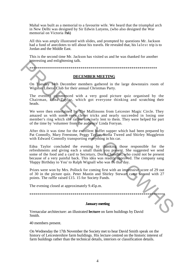Mahal was built as a memorial to a favourite wife. We heard that the triumphal arch in New Delhi was designed by Sir Edwin Lutyens, (who also designed the War memorial on Victoria Park)

All this was amply illustrated with slides, and prompted by questions Mr. Jackson had a fund of anecdotes to tell about his travels. He revealed that, his lalest trip is to Jordan and the Middle East.

This is the second time Mr. Jackson has visited us and he was thanked for another interesting and enlightening talk.

\*\*\*\*\*\*\*\*\*\*\*\*\*\*\*\*\*\*\*\*\*\*\*\*\*\*\*\*\*\*\*\*\*\*\*\*\*\*\*\*\*\*\*\*\*\*\*\*\*\*\*\*\*\*\*\*\*\*\*\*\*\*\*\*\*

#### **DECEMBER MEETING**

On Tuesday 14th December members gathered in the large downstairs room of Wigston Liberal Club for their annual Christmas Party.

The evening commenced with a very good picture quiz organised by the Chairman, Edna Taylor, which got everyone thinking and scratching their heads.

We were then entertained by The Mallinsons from Leicester Magic Circle. They amazed us with some very clever tricks and nearly succeeded in losing one member's ring which she rather unwisely lent to them. They were helped for part of the time by 'volunteer from the audience' Linda Forryan.

After this it was time for the excellent buffet supper which had been prepared by Pat Connolly, Mary Freestone, Peggy Taylor, Stella Tweed and Shirley Muggleton with Edward Connolly transporting everything in his car.

Edna Taylor concluded the evening by thanking those responsible for the refreshments and giving each a small thank you present. She suggested we send some of the food and a card to Secretary, Doris Chandler, who could not be present because of a very painful back. This idea was readily approved. The company sang 'Happy Birthday to You' to Ralph Wignall who was 86 that day. The evening and empiricing tank.<br>
DECEMBER MEETING<br>
On Thesday Ndh December members gathered in the large downstairs room of<br>
Wigxion Liberal Club for their amunal Christmas Party.<br>
The evening commenced with a very good p

Prizes were won by Mrs. Pollock for coming first with an impressive score of 29 out of 30 in the picture quiz. Peter Mastin and Shirley Stewart came second with 27 points. The raffle raised £15. 15 for Society Funds.

The evening closed at approximately 9.45p.m.

\*\*\*\*\*\*\*\*\*\*\*\*\*\*\*\*\*\*\*\*\*\*\*\*\*\*\*\*\*\*\*\*\*\*\*\*\*\*\*\*\*\*\*\*\*\*\*\*\*\*\*\*\*\*\*\*\*\*\*\*\*\*\*\*\*\*\*\*\*

#### **January meeting**

Vernacular architecture: an illustrated **lecture** on farm buildings by David Smith.

40 members present.

On Wednesday the 17th November the Society met to hear David Smith speak on the history of Leicestershire farm buildings. His lecture centred on the historic interest of farm buildings rather than the technical details, interiors or classification details.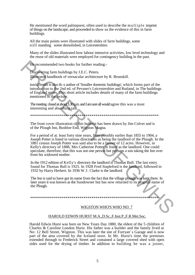He mentioned the word palimpsest, often used to describe the multiple imprint of things on the landscape, and proceeded to show us the evidence of this in farm buildings.

All the main points were illustrated with slides of farm buildings, some still standing some demolished, in Leicestershire.

Many of the slides illustrated how labour intensive activities, low level technology and the reuse of old materials were employed for contingency building in the past.

He recommended two books for further reading:-

Discovering farm buildings by J.E.C. Peters. Illustrated handbook of vernacular architecture by R. Brunskill.

iravid Smith is also th.-s author of 'Smaller domestic buildings', which forms part of the introduction to the 2nd ed. of Pevsner's Leicestershire and Rutland, in The buildings of England series. This short article includes details of many of the farm buildings mentioned in the lecture.

The meeting closed at about 3.30 p.m. and I am sure all would agree this was a most interesting and absorbing talk.

\*\*\*\*\*\*\*\*\*\*\*\*\*\*\*\*\*\*\*\*\*\*\*\*\*\*\*\*\*\*\*\*\*\*\*\*\*\*\*\*\*\*\*\*\*\*\*\*\*\*\*\*\*\*\*\*\*\*\*\*\*\*\*\*\*

The front cover illustration of this bulletin has been drawn by Jim Colver and is of the Plough Inn, Bushloe End, Wigston Magna.

For a period of at. least forty nine years, from possibly earlier than 1855 to 1904, a Joseph Potter is listed in various directories as being the landlord of the Plough. In the 1881 census Joseph Potter was said also to be a farmer of 12 acres. However, in Kelly's directory of 1888, Mrs Catherine Potter is listed as the landlord. One could speculate, therefore, that this was not one person but perhaps a son taking the Inn over from his widowed mother. The recommended two books for further reading:<br>
Discreting farm buildings by J.E.C. Peters.<br>
Illustrated handbook of vernacular architecture by R. Brunskill.<br>
invisibility also the 2 author of Smaller domestic buildings'

In the 1912 edition of Kelly's directory the landlord is Thomas Bull. The last entry found for Thomas Bull is 1925. In 1928 Fred Stapleford is the landlord, followed in 1932 by Harry Herbert. In 1936 W.J. Clarke is the landlord.

The Inn is said to have got its name from the fact that the village plough was kept there. In later years it was known as the Sundowner hut has now returned to its original name of the Plough.

\*\*\*\*\*\*\*\*\*\*\*\*\*\*\*\*\*\*\*\*\*\*\*\*\*\*\*\*\*\*\*\*\*\*\*\*\*\*\*\*\*\*\*\*\*\*\*\*\*\*\*\*\*\*\*\*\*\*\*\*\*\*\*\*\*

# WIGSTON WHO'S WHO NO: 7

#### HAROLD EDWIN HURST M.A.,D.Sc.,F.Inst.P.,F.R.Met.Soc.

Harold Edwin Hurst was born on New Years Day 1880, the eldest of the 5 children of Charles & Caroline London Hurst. His father was a builder and the family lived at No: 12 Bell Street, Wigston. This was later the site of Forryan' s Garage and is now part of the area covered by the Iceland store. In Mr. Hurst's time the premises extended through to Frederick Street and contained a large covered shed with open sides used for the drying of timber. In addition to building he was a joiner,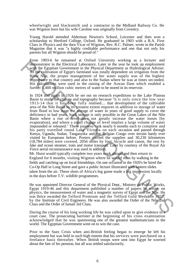wheelwright and blacksmith and a contractor to the Midland Railway Co. He was Wigston born but his wife Caroline was originally from Coventry.

Young Harold attended Alderman Newton's School, Leicester and then won a scholarship to Hertford College, Oxford. He graduated in 1903 with a B.A. First Class in Physics and the then Vicar of Wigston, Rev. R.C. Palmer, wrote in the Parish Magazine that it was "a highly creditable performance and one that not only his parents but all Wigston should be proud of."

From 1903-6 he remained at Oxford University working as a lecturer and demonstrator in the Electrical Laboratory. Later in the year he took up employment with the Egyptian Government in the Physical Department as Hydrological Adviser. As the cultivation of Egypt's farmland was totally dependent on irrigation from the River Nile, the proper management of her water supply was of the highest importance to that country and also to the Sudan where he was at times seconded. His calculations were used in the raising of the Aswan Dam which enabled a further 5,400 million cubic metres of water to be stored in its reservoir.

In 1924 and again in 1926 he set out on research expeditions to the Lake Plateau Basin to study the climate and topography because "it is only since the low year 1913-14 that it has been fully realised.... that development of the cultivable area of the Nile Basin to its greatest extent requires in addition to storage of water from flood to low stage the storage of water in years of good supply to cover the deficiency in bad years. Such storage is only possible in the Great Lakes of the Nile Basin where a rise of level does not greatly increase the water losses [by evaporation], and where a small change of level implies a large volume of water impounded or released." These journeys took nearly 6 months each to complete and his party travelled round Lake Victoria on each occasion and passed through Kenya, Uganda, Sudan, Tanganyika and the Belgian Congo over terrain hardy ever visited by Europeans before. Porters carried the supplies and 30,230 kilometres (18,784 miles) were covered, 2056 miles by foot, bicycle and canoe, the rest by lake and ocean steamer, train and motor transport. Later by courtesy of the Royal Air Force aerial reconnaissance was used in addition. From 1992-10.<br>
Tommin the Electrical Laboratory. Later in the year he took up employment<br>
variable Eigptican Government in the 19ysteal Department is flyticlogical Activate.<br>
River Whe chose the form of the state of the st

Mr. Hurst would typically complete two years work abroad and then return to England for 6 months, visiting Wigston where he would relax by walking in the fields and catching up on local friendships. On one occasion in the 1920's he hired the Co-Op Hall in Long Street and gave a public lecture illustrated with lantern slides taken from the air. These shots of Africa's big game made a big impression locally in the days before T.V. wildlife programmes.

He was appointed Director General of the Physical Dept., Ministry of Public Works, Egypt 1919-46 and this department published a number of papers he wrote, on physics, the measurement of water and a magnetic survey of Egypt and the Nile. He was thrice awarded the Telford Premium and the Telford Gold Medal in 1957, by the Institute of Civil Engineers. He was also awarded the Order of the Nile 2nd Class and the Order of Ismail 3rd Class.

During the course of his long working life he was called upon to give evidence in a court case. The prosecuting barrister at the beginning of his cross examination acknowledged that he was questioning one of the greatest mathematicians in the world. The Egyptian Government went on to win the case.

Prior to the Suez Crisis when anti-British feeling began to emerge he left his employment but was held in such high esteem that his services were purchased on a freelance basis thereafter. When British troops were sent into Egypt he worried about the fate of his pension, but all was settled satisfactorily.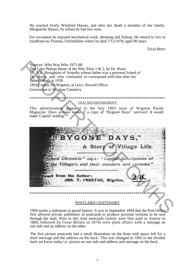He married firstly Winifred Hawes, and after her death a member of her family, Marguerite Hawes, by whom he had two sons.

For recreation he enjoyed mechanical work, shooting and fishing. He retired to live in Sandford-on-Thames, Oxfordshire where he died 7/12/1978, aged 98 years.

Tricia Berry

Sources: Who Was Who 1971-80 The Lake Plateau Basin of the Nile, Parts  $1 \& 2$ , by Dr. Hurst. Mr. E.F. Broughton of Arnesby whose father was a personal friend of Dr. Hurst, and who continued to correspond with him after his father's death in 1939. 1891 Census for Wigston, at Leics. Record Office. Gravestone in Wigston Cemetery

#### **OLD ADVERTISEMENT**

This advertisement appeared in the July 1903 issue of Wigston Parish<br>Magazine. Does anyone know if a copy of "Bygone Days" survives? It would make 'Capital' reading!



#### POSTCARD CENTENARY

1994 marks a milestone in postal history. It was in September 1894 that the Post Office first allowed private publishers of postcards to produce pictorial versions to be sent through the mail. Prior to this time postcards (which were first used in Austria in 1869, followed by Great Britain in 1870) were plain affairs with a message on one side and an address on the other.

The first picture postcards had a small illustration on the front with space left for a brief message and the address on the back. This was changed in 1902 to the divided back we know today *i.e.* picture on one side and address and message on the back.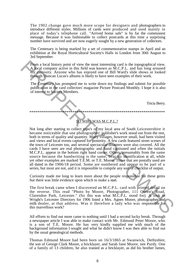The 1902 change gave much more scope for designers and photographers to introduce different styles. Millions of cards were produced and used mainly in place of today's telephone call. "Arrived home safe" is by far the commonest message. Because it was fashionable to collect postcards at this time a surprising number have survived and are now eagerly sought by a new generation of collectors.

The Centenary is being marked by a set of commemorative stamps in April and an exhibition at the Royal Horticultural Society's Halls in London from 30th August to 3rd September.

From a local history point of view the most interesting card is the topographical view. A local company active in this field was known as  $\overline{M}$ , C.P.L. and has long aroused my curiosity. Anyone who has enjoyed one of Bill Ward's slide shows or looked through Duncan Lucas's albums is likely to have seen examples of their work.

The Centenary has prompted me to write down my findings and submit for possible publication in the card collectors' magazine Picture Postcard Monthly. I hope it is also of interest to Society Members.

Tricia Berry.

# SO WHO WAS M.C.P.L.?

Not long after starting to collect topo's of my local area of South Leicestershire it became noticeable that one photographer/ publisher's work stood out from the rest, both in terms of quality and quantity. Many villages, however small, had been visited and views and local events captured for posterity. A few cards featured street scenes of the town of Leicester too, and several spectacular disasters were also covered. All the cards I have seen are real photographic and hand captioned and often the initials M.C.P.L. appear in the bottom right hand corner. Others, presumably from the same source because the handwriting is the same, bear no identification at all, while yet other examples are marked T.E.M. or T.E. Moore. Those that are postally used are all dated in the 1906/18 period. Some are numbered and appear to be part of a series, but most are not, and it is impossible to compile any sort of checklist of output.

Curiosity made me long to learn more about the people responsible for these gems but there was little evidence upon which to make a start.

The first break came when I discovered an M.C.P.L. card with printed detail on the reverse. This read "Photo by Moore, Photographer, 111 Queen's Road, Clarendon Park, Leicester." (So this was what M.C.P.L. stood for). A look in Wright's Leicester Directory for 1906 listed a Mrs. Agnes Moore, photographer and milk dealer, at that address. Was it therefore a lady who was responsible for this marvellous work?

All efforts to find out more came to nothing until I had a second lucky break. Through a newspaper article I was able to make contact with Mr. Edmund Peter Moore, who is a son of T.E. Moore. He has very kindly supplied me with much of the background information I sought and what he didn't know I was then able to find out by the usual genealogical methods.

Thomas Edmund Moore had been born on 16/3/1865 at Swanwick, Derbyshire, the son of George Clark Moore, a bricklayer, and Sarah Jane Moore, nee Purdy. One of a family of 13 children, he also trained as a bricklayer, as did his brother James,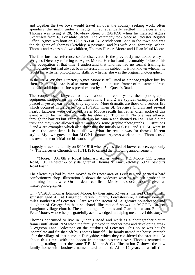and together the two boys would travel all over the country seeking work, often spending the night under a hedge. They eventually settled in Leicester and Thomas was living at 28, Mowbray Street on 2/8/1890 when he married Agnes Sketchley from 6, Lonsdale Street. The ceremony took place at Leicester Register Office. Agnes was born on 12/1/1869 at 34, Archdeacon Lane in the town and was the daughter of Thomas Sketchley, a postman, and his wife Ann, formerly Bishop. Thomas and Agnes had two children, Thomas Herbert Moore and Lilian Maud Moore.

The first business reference so far discovered is the previously mentioned entry in Wright's Directory referring to Agnes Moore. Her husband presumably followed his own occupation at that time. I understand that Thomas had no formal training in photography but had always been interested in the subject. It is not known whether he taught his wife her photographic skills or whether she was the original photographer.

In the 19J4 Wright's Directory Agnes Moore is still listed as a photographer but by then Thomas Moore is also mentioned, as a picture framer of the same address, and with additional business premises nearby at 54, Queen's Road.

The couple used bicycles to travel about the countryside, their photographic equipment strapped on the back. Illustrations 1 and 2 are typical examples of the peaceful yesteryear scenes they captured. More dramatic are those of a serious fire which occurred in Leicester on 5/10/1911 when St. George's Church and several nearby factories were destroyed. Peter Moore recalls his father often spoke of this event which he had attended with his elder son Thomas H. No one was allowed through the barriers but Thomas lifted up his camera and shouted PRESS. This did the trick and they were allowed nearer and took some graphic photographs. Illustrations 3 and 4 are examples which also show that the initials M.C.P.L. and T.E.M. were in use at the same time. It is not known what the reason was for these different styles. My own guess is that M.C.P.L. denoted Agnes's work and that Thomas used his own name or initials on his work. From Express to Agaes words the measure in equals and positive the measurable measurements of the measurement of the study of the study of the study of the study of the study of the study of the study by the factor ( $\frac{1$ 

Tragedy struck the family on 8/11/1916 when Agnes died of bowel cancer, aged only 47. The Leicester Chronicle of 18/11/1916 carried the following announcement:

"Moore. . .On 8th at Royal Infirmary, Agnes, wife of T.E. Moore, 111 Queens Road, C.P. Leicester & only daughter of Thomas & Ann Sketchley, 59 St. Saviours Road East."

The Sketchleys had by then moved to this new area of Leicester and opened a hard confectionery shop. Illustration 5 shows the widower wearing a black armband in mourning for his wife. On the death certificate Mr. Moore's occupation is given as master photographer.

On 7/2/1918, Thomas Edmund Moore, by then aged 52 years, married Clara Smith, spinster aged 41, at Laughton Parish Church, Leicestershire, a village some 10 miles south/east of Leicester. Clara was the Rector of Laughton's housekeeper and daughter of George Smith, a shoehand. Illustration 6 shows an M.C.P.L. card of Laughton village church. The middle aged Thomas and Clara had a son, Edmund Peter Moore, whose help is gratefully acknowledged in helping me unravel this story.

Thomas continued to live in Queen's Road and work as a photographer/picture framer until about 1924 when the family moved to another new and developing area - 3 Wigston Lane, Aylestone on the outskirts of Leicester. This house was bought incomplete and finished off by Thomas himself. The family named the house Pentrich after the village of that name in Derbyshire, which they considered the prettiest. At about this time, with the boom in picture postcards over, Thomas returned to building, trading under the name T.E. Moore & Co. Illustration 7 shows the new family home with business name board attached. After 17 years as a full time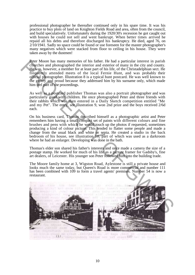professional photographer he thereafter continued only in his spare time. It was his practice to buy plots of land on Knighton Fields Road and area, often from the council, and build speculatively. Unfortunately during the 1920/30's recession he got caught out with houses he could not sell and went bankrupt. When better times arrived he repaid all his debts and therefore discharged his bankruptcy. He died, aged 76, on 2/10/1941. Sadly no space could be found or use foreseen for the master photographer's many negatives which were stacked from floor to ceiling in his house. They were taken away by the dustmen!

Peter Moore has many memories of his father. He had a particular interest in parish churches and photographed the interior and exterior of many in the city and county. He was, however, a member for at least part of his life, of the Christadelphian sect. He frequently attended meets of the local Fernie Hunt, and was probably their official photographer. Illustration 8 is a typical hunt postcard. He was well known to the gentry and proud because they addressed him by his surname only, which made him feel part of the proceedings.

As well as a postcard publisher Thomas was also a portrait photographer and was particularly good with children. He once photographed Peter and three friends with their rabbits which was then entered in a Daily Sketch competition entitled "Me and my Pet". The entry, see illustration 9, won 2nd prize and the boys received 2/6d each.

On his business card, Thomas described himself as a photographic artist and Peter remembers him having a small compact set of paints with different colours and fine brushes and pens with which he would touch up the photos if requested, sometimes producing a kind of colour picture. This tended to flatter some people and made a change from the usual black and white or sepia. He created a studio in the back bedroom of his house, see illustration 10, part of which was used as a darkroom where he had an enlarger. Developing was done in the bath.

Thomas's elder son shared his father's interests and once made a camera the size of a postage stamp. He worked for much of his life as a picture framer for Gadsby's, fine art dealers, of Leicester. His younger son Peter followed him into the building trade.

The Moore family home at 3, Wigston Road, Aylestone is still a private house and looks much the same today, but Queen's Road is more commercial and number 111 has been combined with 109 to form a travel agents' premises. Number 54 is now a restaurant.

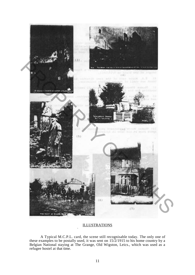

# **ILLUSTRATIONS**

•

A Typical M.C.P.L. card, the scene still recognisable today. The only one of these examples to be postally used, it was sent on 15/2/1915 to his home country by a Belgian National staying at The Grange, Old Wigston, Leics., which was used as a refugee hostel at that time.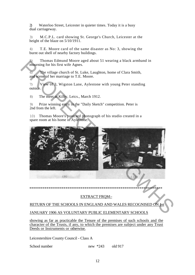2) Waterloo Street, Leicester in quieter times. Today it is a busy dual carriageway.

3) M.C.P.L. card showing St. George's Church, Leicester at the height of the blaze on  $5/10/1911$ .

4) T.E. Moore card of the same disaster as No: 3, showing the burnt out shell of nearby factory buildings.

5) Thomas Edmund Moore aged about 51 wearing a black armband in mourning for his first wife Agnes.

6) The village church of St. Luke, Laughton, home of Clara Smith, and scene of her marriage to T.E. Moore.

7) View of 3, Wigston Lane, Aylestone with young Peter standing outside.

8) The meet at Kilby, Leics., March 1912.

9) Prize winning entry in the "Daily Sketch" competition. Peter is 2nd from the left.

10) Thomas Moore's postcard photograph of his studio created in a spare room at his home in Aylestone.



\*\*\*\*\*\*\*\*\*\*\*\*\*\*\*\*\*\*\*\*\*\*\*\*\*\*\*\*\*\*\*\*\*\*\*\*\*\*\*\*\*\*\*\*\*\*\*\*\*\*\*\*\*\*\*\*\*\*\*\*\*\*\*\*\*\*\*\*\*\*

# EXTRACT FRQM:-

RETURN OF THE SCHOOLS IN ENGLAND AND WALES RECOGNISED ON 1st

# JANUARY 1906 AS VOLUNTARY PUBLIC ELEMENTARY SCHOOLS

showing as far as practicable the Tenure of the premises of such schools and the character of the Trusts, if any, to which the premises are subject under any Trust Deeds or Instruments or otherwise.

Leicestershire County Council - Class A

School number new \*243 old 917